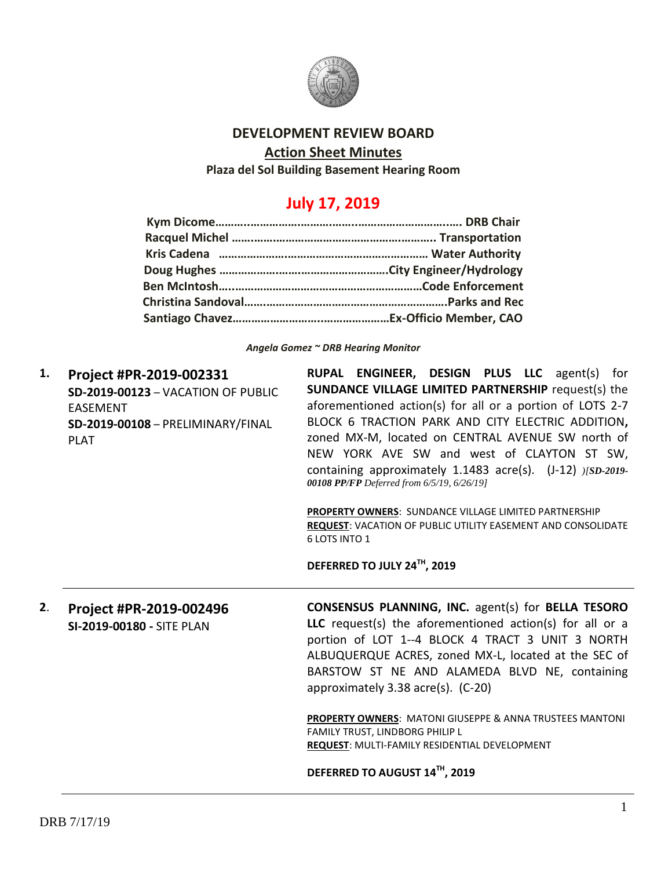

### **DEVELOPMENT REVIEW BOARD**

#### **Action Sheet Minutes**

**Plaza del Sol Building Basement Hearing Room**

# **July 17, 2019**

*Angela Gomez ~ DRB Hearing Monitor*

**1. Project #PR-2019-002331 SD-2019-00123** – VACATION OF PUBLIC EASEMENT **SD-2019-00108** – PRELIMINARY/FINAL PLAT

**RUPAL ENGINEER, DESIGN PLUS LLC** agent(s) for **SUNDANCE VILLAGE LIMITED PARTNERSHIP** request(s) the aforementioned action(s) for all or a portion of LOTS 2-7 BLOCK 6 TRACTION PARK AND CITY ELECTRIC ADDITION**,**  zoned MX-M, located on CENTRAL AVENUE SW north of NEW YORK AVE SW and west of CLAYTON ST SW, containing approximately 1.1483 acre(s). (J-12) *)[SD-2019- 00108 PP/FP Deferred from 6/5/19, 6/26/19]*

**PROPERTY OWNERS**: SUNDANCE VILLAGE LIMITED PARTNERSHIP **REQUEST**: VACATION OF PUBLIC UTILITY EASEMENT AND CONSOLIDATE 6 LOTS INTO 1

**DEFERRED TO JULY 24TH, 2019**

**2**. **Project #PR-2019-002496 SI-2019-00180 -** SITE PLAN

**CONSENSUS PLANNING, INC.** agent(s) for **BELLA TESORO LLC** request(s) the aforementioned action(s) for all or a portion of LOT 1--4 BLOCK 4 TRACT 3 UNIT 3 NORTH ALBUQUERQUE ACRES, zoned MX-L, located at the SEC of BARSTOW ST NE AND ALAMEDA BLVD NE, containing approximately 3.38 acre(s). (C-20)

**PROPERTY OWNERS**: MATONI GIUSEPPE & ANNA TRUSTEES MANTONI FAMILY TRUST, LINDBORG PHILIP L **REQUEST**: MULTI-FAMILY RESIDENTIAL DEVELOPMENT

**DEFERRED TO AUGUST 14TH, 2019**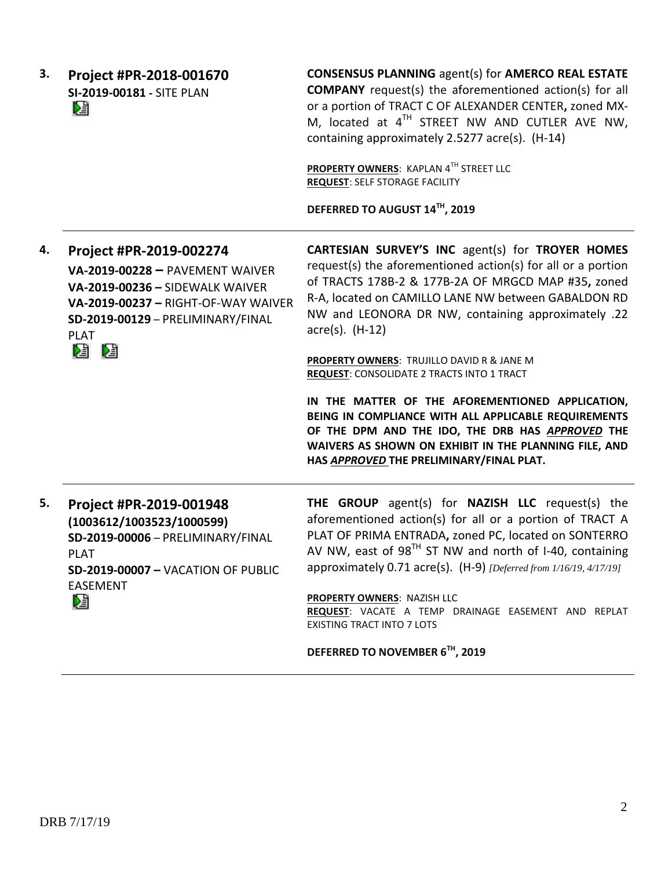| 3. | Project #PR-2018-001670<br>SI-2019-00181 - SITE PLAN<br>r,                                                                                                               | <b>CONSENSUS PLANNING agent(s) for AMERCO REAL ESTATE</b><br><b>COMPANY</b> request(s) the aforementioned action(s) for all<br>or a portion of TRACT C OF ALEXANDER CENTER, zoned MX-<br>M, located at 4 <sup>TH</sup> STREET NW AND CUTLER AVE NW,<br>containing approximately 2.5277 acre(s). (H-14)<br>PROPERTY OWNERS: KAPLAN 4TH STREET LLC<br><b>REQUEST: SELF STORAGE FACILITY</b><br>DEFERRED TO AUGUST 14™, 2019 |
|----|--------------------------------------------------------------------------------------------------------------------------------------------------------------------------|---------------------------------------------------------------------------------------------------------------------------------------------------------------------------------------------------------------------------------------------------------------------------------------------------------------------------------------------------------------------------------------------------------------------------|
| 4. | Project #PR-2019-002274                                                                                                                                                  | <b>CARTESIAN SURVEY'S INC agent(s) for TROYER HOMES</b>                                                                                                                                                                                                                                                                                                                                                                   |
|    | VA-2019-00228 - PAVEMENT WAIVER<br>VA-2019-00236 - SIDEWALK WAIVER<br>VA-2019-00237 - RIGHT-OF-WAY WAIVER<br>SD-2019-00129 - PRELIMINARY/FINAL<br><b>PLAT</b>            | request(s) the aforementioned action(s) for all or a portion<br>of TRACTS 178B-2 & 177B-2A OF MRGCD MAP #35, zoned<br>R-A, located on CAMILLO LANE NW between GABALDON RD<br>NW and LEONORA DR NW, containing approximately .22<br>$\arccos(5)$ . (H-12)                                                                                                                                                                  |
|    | e n                                                                                                                                                                      | PROPERTY OWNERS: TRUJILLO DAVID R & JANE M<br><b>REQUEST: CONSOLIDATE 2 TRACTS INTO 1 TRACT</b>                                                                                                                                                                                                                                                                                                                           |
|    |                                                                                                                                                                          | IN THE MATTER OF THE AFOREMENTIONED APPLICATION,<br>BEING IN COMPLIANCE WITH ALL APPLICABLE REQUIREMENTS<br>OF THE DPM AND THE IDO, THE DRB HAS APPROVED THE<br>WAIVERS AS SHOWN ON EXHIBIT IN THE PLANNING FILE, AND<br>HAS APPROVED THE PRELIMINARY/FINAL PLAT.                                                                                                                                                         |
| 5. | Project #PR-2019-001948<br>(1003612/1003523/1000599)<br>SD-2019-00006 - PRELIMINARY/FINAL<br><b>PLAT</b><br><b>SD-2019-00007 - VACATION OF PUBLIC</b><br><b>EASEMENT</b> | THE GROUP agent(s) for NAZISH LLC request(s) the<br>aforementioned action(s) for all or a portion of TRACT A<br>PLAT OF PRIMA ENTRADA, zoned PC, located on SONTERRO<br>AV NW, east of $98^{TH}$ ST NW and north of I-40, containing<br>approximately 0.71 acre(s). (H-9) [Deferred from 1/16/19, 4/17/19]                                                                                                                |
|    | N.                                                                                                                                                                       | <b>PROPERTY OWNERS: NAZISH LLC</b><br>REQUEST: VACATE A TEMP DRAINAGE EASEMENT AND REPLAT<br><b>EXISTING TRACT INTO 7 LOTS</b>                                                                                                                                                                                                                                                                                            |
|    |                                                                                                                                                                          | DEFERRED TO NOVEMBER 6TH, 2019                                                                                                                                                                                                                                                                                                                                                                                            |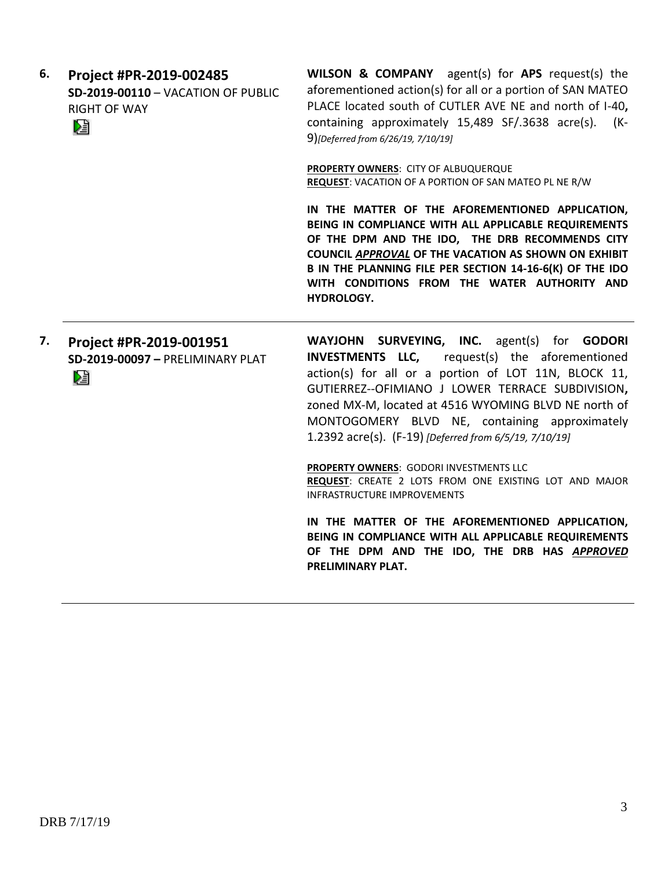| 6. | Project #PR-2019-002485<br>SD-2019-00110 - VACATION OF PUBLIC<br><b>RIGHT OF WAY</b><br>N | <b>WILSON &amp; COMPANY</b> agent(s) for APS request(s) the<br>aforementioned action(s) for all or a portion of SAN MATEO<br>PLACE located south of CUTLER AVE NE and north of I-40,<br>containing approximately 15,489 SF/.3638 acre(s).<br>(K-<br>9)[Deferred from 6/26/19, 7/10/19]                                                                                          |
|----|-------------------------------------------------------------------------------------------|---------------------------------------------------------------------------------------------------------------------------------------------------------------------------------------------------------------------------------------------------------------------------------------------------------------------------------------------------------------------------------|
|    |                                                                                           | PROPERTY OWNERS: CITY OF ALBUQUERQUE<br><b>REQUEST:</b> VACATION OF A PORTION OF SAN MATEO PL NE R/W                                                                                                                                                                                                                                                                            |
|    |                                                                                           | IN THE MATTER OF THE AFOREMENTIONED APPLICATION,<br>BEING IN COMPLIANCE WITH ALL APPLICABLE REQUIREMENTS<br>OF THE DPM AND THE IDO, THE DRB RECOMMENDS CITY<br>COUNCIL APPROVAL OF THE VACATION AS SHOWN ON EXHIBIT<br>B IN THE PLANNING FILE PER SECTION 14-16-6(K) OF THE IDO<br>WITH CONDITIONS FROM THE WATER AUTHORITY AND<br>HYDROLOGY.                                   |
|    |                                                                                           |                                                                                                                                                                                                                                                                                                                                                                                 |
| 7. | Project #PR-2019-001951<br>SD-2019-00097 - PRELIMINARY PLAT<br>V                          | WAYJOHN SURVEYING, INC. agent(s) for GODORI<br>INVESTMENTS LLC,<br>request(s) the aforementioned<br>action(s) for all or a portion of LOT 11N, BLOCK 11,<br>GUTIERREZ--OFIMIANO J LOWER TERRACE SUBDIVISION,<br>zoned MX-M, located at 4516 WYOMING BLVD NE north of<br>MONTOGOMERY BLVD NE, containing approximately<br>1.2392 acre(s). (F-19) [Deferred from 6/5/19, 7/10/19] |
|    |                                                                                           | PROPERTY OWNERS: GODORI INVESTMENTS LLC<br>REQUEST: CREATE 2 LOTS FROM ONE EXISTING LOT AND MAJOR<br><b>INFRASTRUCTURE IMPROVEMENTS</b>                                                                                                                                                                                                                                         |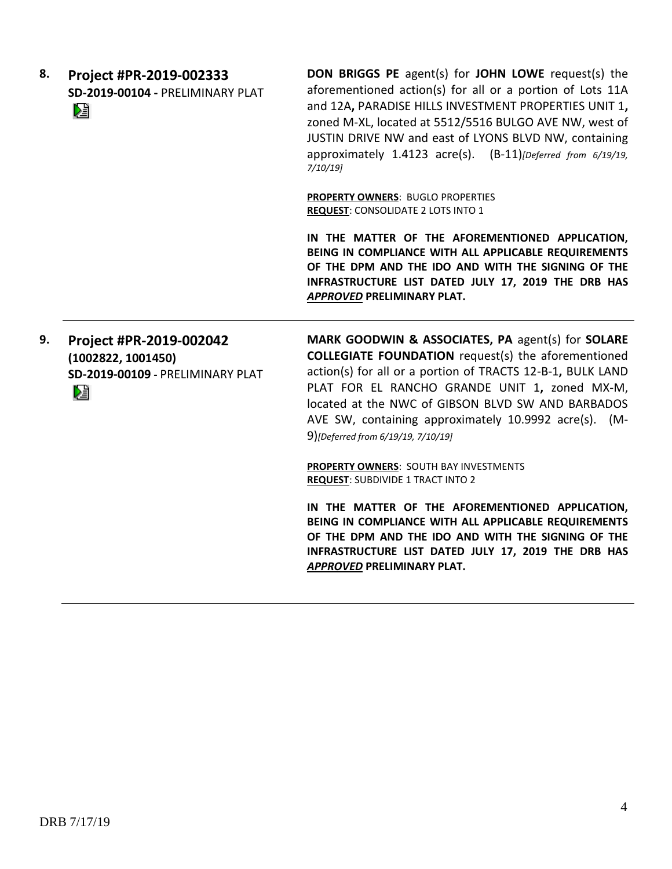| 8. | Project #PR-2019-002333          | <b>DON</b> |
|----|----------------------------------|------------|
|    | SD-2019-00104 - PRELIMINARY PLAT | afor       |
|    | DJ                               | and        |
|    |                                  | zone       |
|    |                                  | JUST       |

**BRIGGS PE** agent(s) for **JOHN LOWE** request(s) the ementioned action(s) for all or a portion of Lots 11A 12A, PARADISE HILLS INVESTMENT PROPERTIES UNIT 1, d M-XL, located at 5512/5516 BULGO AVE NW, west of IN DRIVE NW and east of LYONS BLVD NW, containing approximately 1.4123 acre(s). (B-11)*[Deferred from 6/19/19, 7/10/19]*

**PROPERTY OWNERS**: BUGLO PROPERTIES **REQUEST**: CONSOLIDATE 2 LOTS INTO 1

**IN THE MATTER OF THE AFOREMENTIONED APPLICATION, BEING IN COMPLIANCE WITH ALL APPLICABLE REQUIREMENTS OF THE DPM AND THE IDO AND WITH THE SIGNING OF THE INFRASTRUCTURE LIST DATED JULY 17, 2019 THE DRB HAS**  *APPROVED* **PRELIMINARY PLAT.**

**9. Project #PR-2019-002042 (1002822, 1001450) SD-2019-00109 -** PRELIMINARY PLAT Dà

**MARK GOODWIN & ASSOCIATES, PA** agent(s) for **SOLARE COLLEGIATE FOUNDATION** request(s) the aforementioned action(s) for all or a portion of TRACTS 12-B-1**,** BULK LAND PLAT FOR EL RANCHO GRANDE UNIT 1**,** zoned MX-M, located at the NWC of GIBSON BLVD SW AND BARBADOS AVE SW, containing approximately 10.9992 acre(s). (M-9)*[Deferred from 6/19/19, 7/10/19]*

**PROPERTY OWNERS**: SOUTH BAY INVESTMENTS **REQUEST**: SUBDIVIDE 1 TRACT INTO 2

**IN THE MATTER OF THE AFOREMENTIONED APPLICATION, BEING IN COMPLIANCE WITH ALL APPLICABLE REQUIREMENTS OF THE DPM AND THE IDO AND WITH THE SIGNING OF THE INFRASTRUCTURE LIST DATED JULY 17, 2019 THE DRB HAS**  *APPROVED* **PRELIMINARY PLAT.**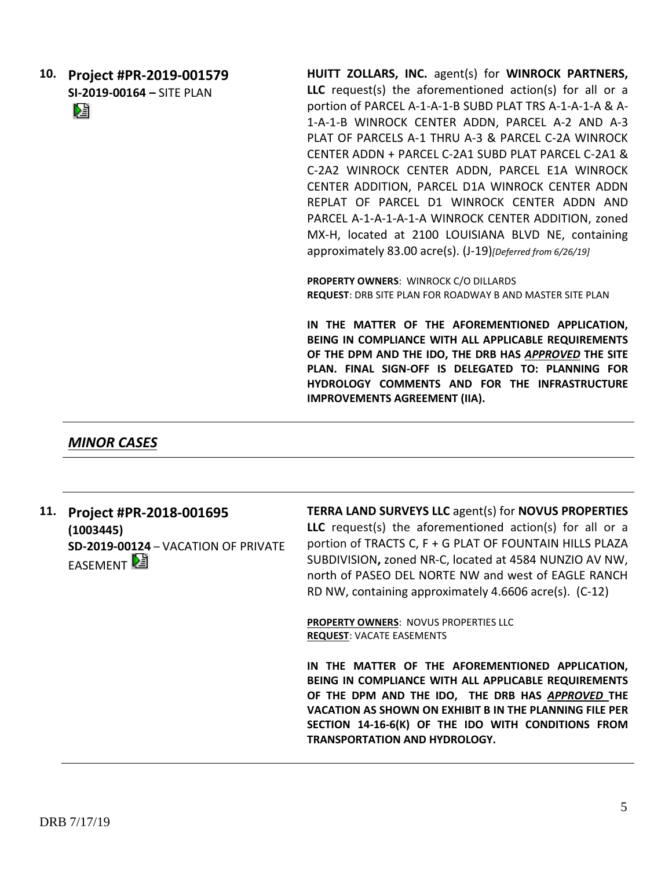**10. Project #PR-2019-001579 SI-2019-00164 –** SITE PLAN

Dà

**HUITT ZOLLARS, INC.** agent(s) for **WINROCK PARTNERS, LLC** request(s) the aforementioned action(s) for all or a portion of PARCEL A-1-A-1-B SUBD PLAT TRS A-1-A-1-A & A-1-A-1-B WINROCK CENTER ADDN, PARCEL A-2 AND A-3 PLAT OF PARCELS A-1 THRU A-3 & PARCEL C-2A WINROCK CENTER ADDN + PARCEL C-2A1 SUBD PLAT PARCEL C-2A1 & C-2A2 WINROCK CENTER ADDN, PARCEL E1A WINROCK CENTER ADDITION, PARCEL D1A WINROCK CENTER ADDN REPLAT OF PARCEL D1 WINROCK CENTER ADDN AND PARCEL A-1-A-1-A-1-A WINROCK CENTER ADDITION, zoned MX-H, located at 2100 LOUISIANA BLVD NE, containing approximately 83.00 acre(s). (J-19)*[Deferred from 6/26/19]*

**PROPERTY OWNERS**: WINROCK C/O DILLARDS **REQUEST**: DRB SITE PLAN FOR ROADWAY B AND MASTER SITE PLAN

**IN THE MATTER OF THE AFOREMENTIONED APPLICATION, BEING IN COMPLIANCE WITH ALL APPLICABLE REQUIREMENTS OF THE DPM AND THE IDO, THE DRB HAS** *APPROVED* **THE SITE PLAN. FINAL SIGN-OFF IS DELEGATED TO: PLANNING FOR HYDROLOGY COMMENTS AND FOR THE INFRASTRUCTURE IMPROVEMENTS AGREEMENT (IIA).**

*MINOR CASES*

**11. Project #PR-2018-001695 (1003445) SD-2019-00124** – VACATION OF PRIVATE **EASEMENT** 

**TERRA LAND SURVEYS LLC** agent(s) for **NOVUS PROPERTIES LLC** request(s) the aforementioned action(s) for all or a portion of TRACTS C, F + G PLAT OF FOUNTAIN HILLS PLAZA SUBDIVISION**,** zoned NR-C, located at 4584 NUNZIO AV NW, north of PASEO DEL NORTE NW and west of EAGLE RANCH RD NW, containing approximately 4.6606 acre(s). (C-12)

**PROPERTY OWNERS**: NOVUS PROPERTIES LLC **REQUEST**: VACATE EASEMENTS

**IN THE MATTER OF THE AFOREMENTIONED APPLICATION, BEING IN COMPLIANCE WITH ALL APPLICABLE REQUIREMENTS OF THE DPM AND THE IDO, THE DRB HAS** *APPROVED* **THE VACATION AS SHOWN ON EXHIBIT B IN THE PLANNING FILE PER SECTION 14-16-6(K) OF THE IDO WITH CONDITIONS FROM TRANSPORTATION AND HYDROLOGY.**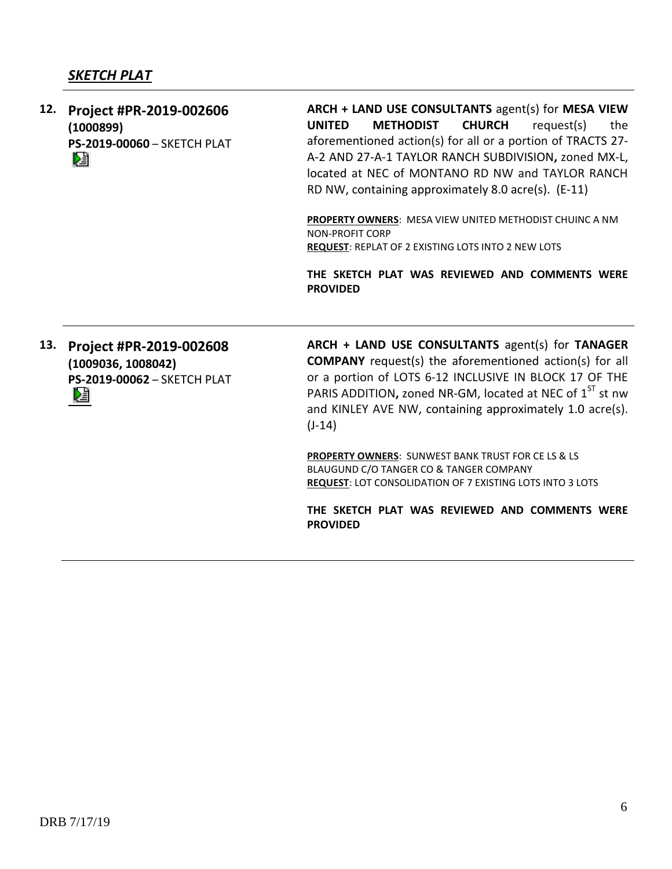## *SKETCH PLAT*

**12. Project #PR-2019-002606 (1000899) PS-2019-00060** – SKETCH PLAT Dă

**ARCH + LAND USE CONSULTANTS** agent(s) for **MESA VIEW UNITED METHODIST CHURCH** request(s) the aforementioned action(s) for all or a portion of TRACTS 27- A-2 AND 27-A-1 TAYLOR RANCH SUBDIVISION**,** zoned MX-L, located at NEC of MONTANO RD NW and TAYLOR RANCH RD NW, containing approximately 8.0 acre(s). (E-11)

**PROPERTY OWNERS**: MESA VIEW UNITED METHODIST CHUINC A NM NON-PROFIT CORP **REQUEST**: REPLAT OF 2 EXISTING LOTS INTO 2 NEW LOTS

**THE SKETCH PLAT WAS REVIEWED AND COMMENTS WERE PROVIDED**

**13. Project #PR-2019-002608 (1009036, 1008042) PS-2019-00062** – SKETCH PLAT ≽≣

**ARCH + LAND USE CONSULTANTS** agent(s) for **TANAGER COMPANY** request(s) the aforementioned action(s) for all or a portion of LOTS 6-12 INCLUSIVE IN BLOCK 17 OF THE PARIS ADDITION, zoned NR-GM, located at NEC of 1<sup>ST</sup> st nw and KINLEY AVE NW, containing approximately 1.0 acre(s).  $(J-14)$ 

**PROPERTY OWNERS**: SUNWEST BANK TRUST FOR CE LS & LS BLAUGUND C/O TANGER CO & TANGER COMPANY **REQUEST**: LOT CONSOLIDATION OF 7 EXISTING LOTS INTO 3 LOTS

**THE SKETCH PLAT WAS REVIEWED AND COMMENTS WERE PROVIDED**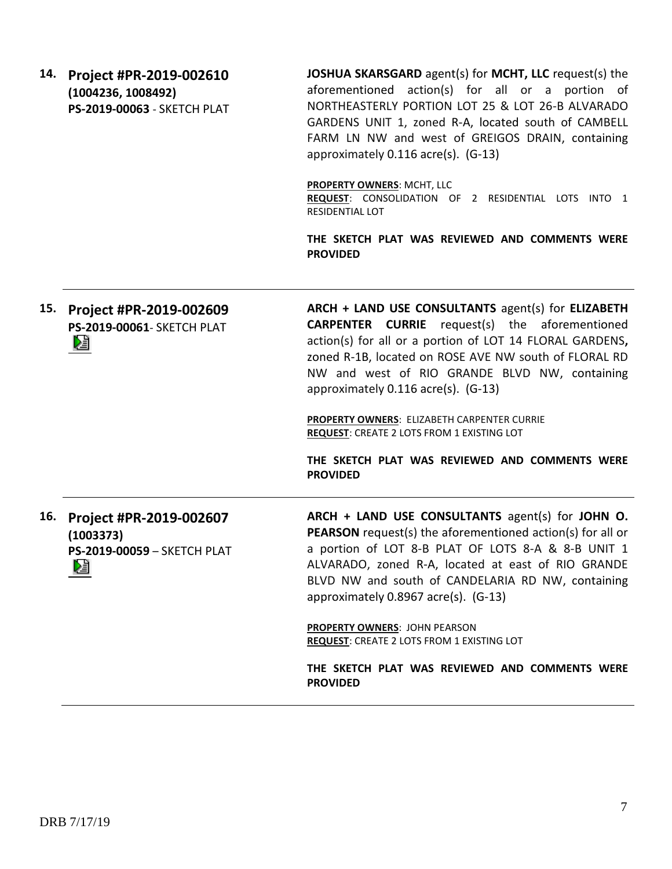**14. Project #PR-2019-002610 (1004236, 1008492) PS-2019-00063** - SKETCH PLAT

**JOSHUA SKARSGARD** agent(s) for **MCHT, LLC** request(s) the aforementioned action(s) for all or a portion of NORTHEASTERLY PORTION LOT 25 & LOT 26-B ALVARADO GARDENS UNIT 1, zoned R-A, located south of CAMBELL FARM LN NW and west of GREIGOS DRAIN, containing approximately 0.116 acre(s). (G-13)

**PROPERTY OWNERS**: MCHT, LLC

**REQUEST**: CONSOLIDATION OF 2 RESIDENTIAL LOTS INTO 1 RESIDENTIAL LOT

**THE SKETCH PLAT WAS REVIEWED AND COMMENTS WERE PROVIDED**

**ARCH + LAND USE CONSULTANTS** agent(s) for **ELIZABETH 15. Project #PR-2019-002609 CARPENTER CURRIE** request(s) the aforementioned **PS-2019-00061**- SKETCH PLAT action(s) for all or a portion of LOT 14 FLORAL GARDENS**,**  Dă zoned R-1B, located on ROSE AVE NW south of FLORAL RD NW and west of RIO GRANDE BLVD NW, containing approximately 0.116 acre(s). (G-13) **PROPERTY OWNERS**: ELIZABETH CARPENTER CURRIE

**REQUEST**: CREATE 2 LOTS FROM 1 EXISTING LOT

**THE SKETCH PLAT WAS REVIEWED AND COMMENTS WERE PROVIDED**

**16. Project #PR-2019-002607 (1003373) PS-2019-00059** – SKETCH PLAT Dă

**ARCH + LAND USE CONSULTANTS** agent(s) for **JOHN O. PEARSON** request(s) the aforementioned action(s) for all or a portion of LOT 8-B PLAT OF LOTS 8-A & 8-B UNIT 1 ALVARADO, zoned R-A, located at east of RIO GRANDE BLVD NW and south of CANDELARIA RD NW, containing approximately 0.8967 acre(s). (G-13)

**PROPERTY OWNERS**: JOHN PEARSON **REQUEST**: CREATE 2 LOTS FROM 1 EXISTING LOT

**THE SKETCH PLAT WAS REVIEWED AND COMMENTS WERE PROVIDED**